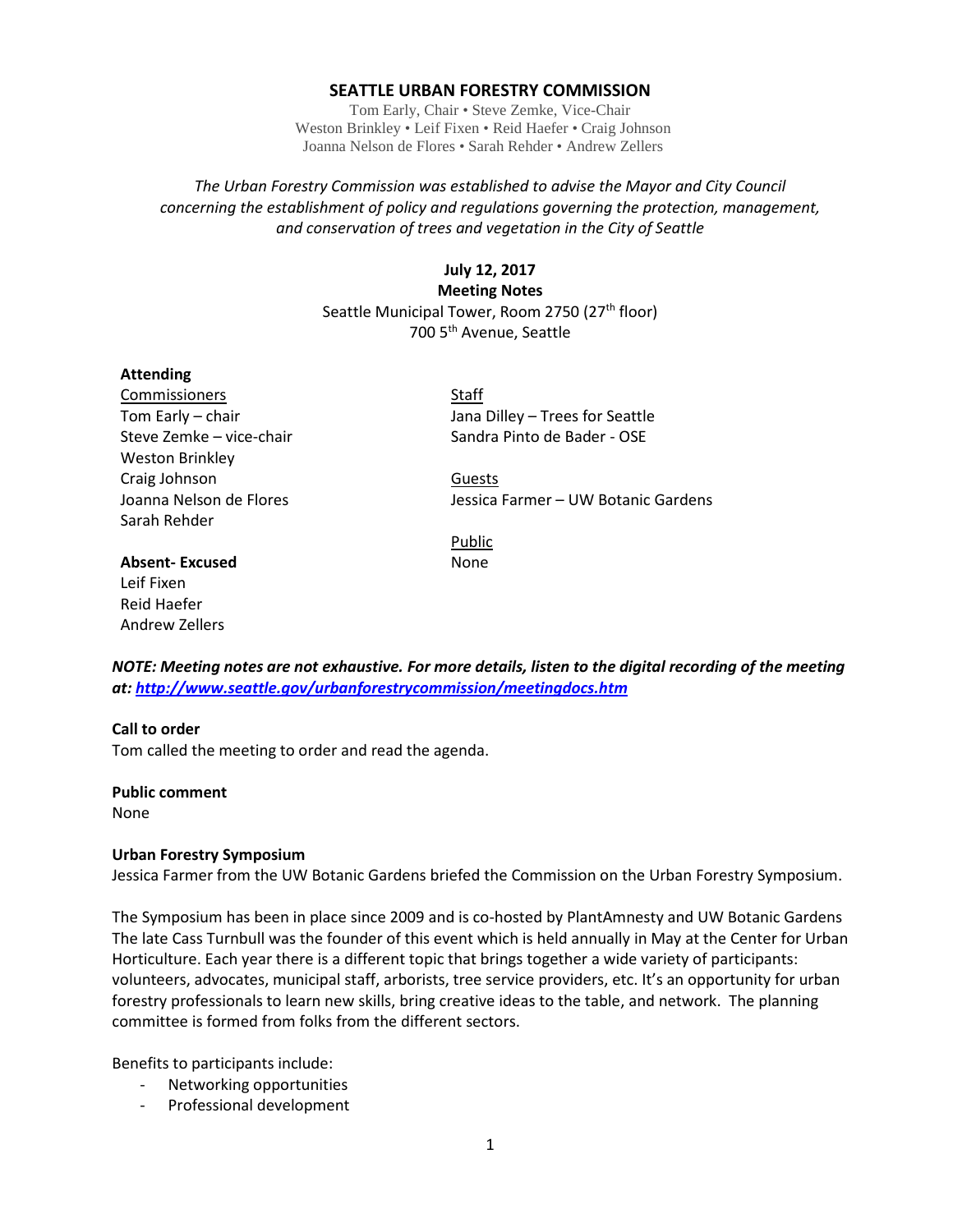### **SEATTLE URBAN FORESTRY COMMISSION**

Tom Early, Chair • Steve Zemke, Vice-Chair Weston Brinkley • Leif Fixen • Reid Haefer • Craig Johnson Joanna Nelson de Flores • Sarah Rehder • Andrew Zellers

# *The Urban Forestry Commission was established to advise the Mayor and City Council concerning the establishment of policy and regulations governing the protection, management, and conservation of trees and vegetation in the City of Seattle*

# **July 12, 2017 Meeting Notes** Seattle Municipal Tower, Room 2750 (27<sup>th</sup> floor) 700 5th Avenue, Seattle

### **Attending**

Commissioners Staff Weston Brinkley Craig Johnson **Guests** Sarah Rehder

Tom Early – chair The Chair Chair Communist Language Jana Dilley – Trees for Seattle Steve Zemke – vice-chair Sandra Pinto de Bader - OSE

Joanna Nelson de Flores Jessica Farmer – UW Botanic Gardens

Public

**Absent-Excused** None Leif Fixen Reid Haefer Andrew Zellers

*NOTE: Meeting notes are not exhaustive. For more details, listen to the digital recording of the meeting at:<http://www.seattle.gov/urbanforestrycommission/meetingdocs.htm>*

## **Call to order**

Tom called the meeting to order and read the agenda.

### **Public comment**

None

### **Urban Forestry Symposium**

Jessica Farmer from the UW Botanic Gardens briefed the Commission on the Urban Forestry Symposium.

The Symposium has been in place since 2009 and is co-hosted by PlantAmnesty and UW Botanic Gardens The late Cass Turnbull was the founder of this event which is held annually in May at the Center for Urban Horticulture. Each year there is a different topic that brings together a wide variety of participants: volunteers, advocates, municipal staff, arborists, tree service providers, etc. It's an opportunity for urban forestry professionals to learn new skills, bring creative ideas to the table, and network. The planning committee is formed from folks from the different sectors.

Benefits to participants include:

- Networking opportunities
- Professional development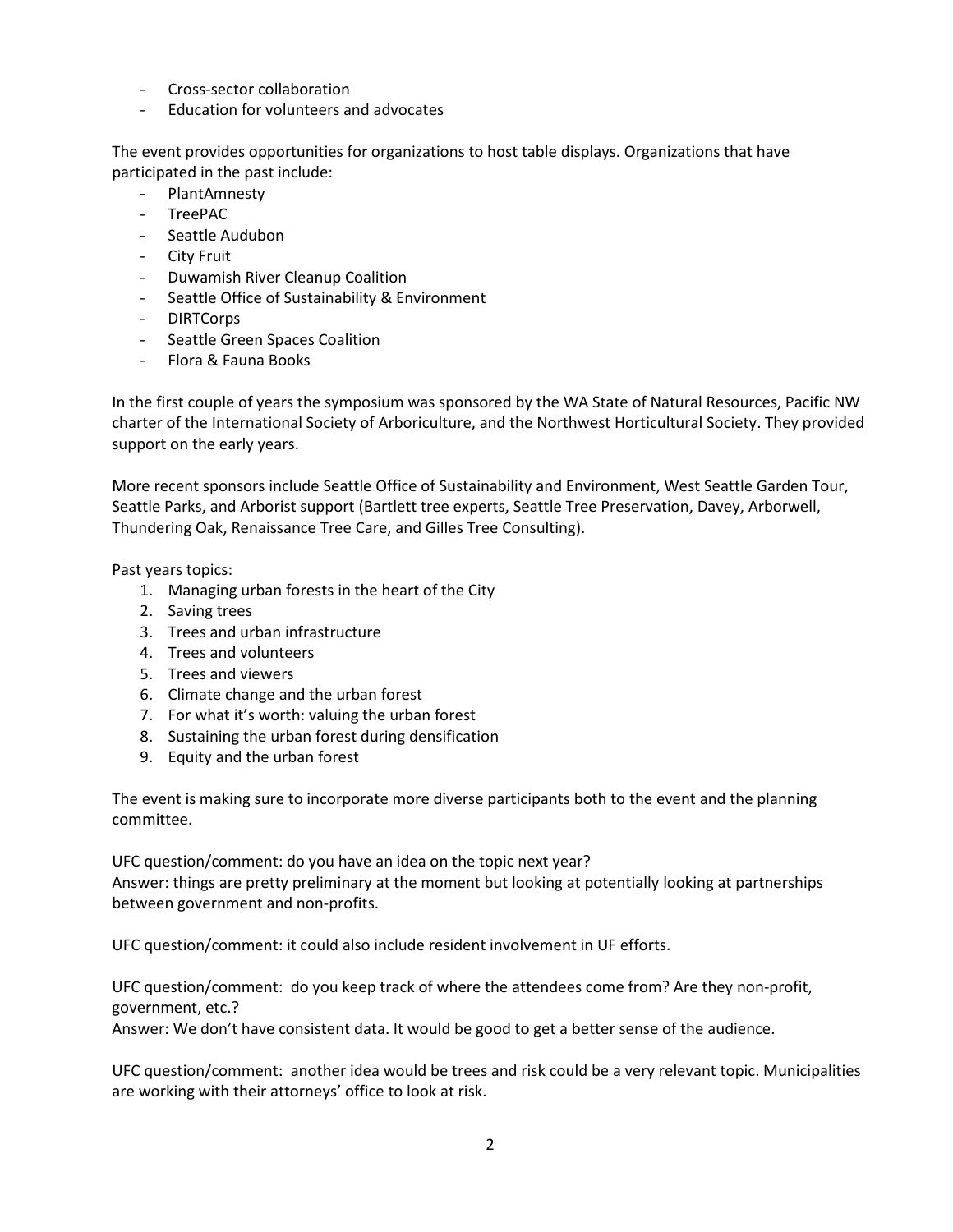- Cross-sector collaboration
- Education for volunteers and advocates

The event provides opportunities for organizations to host table displays. Organizations that have participated in the past include:

- PlantAmnesty
- TreePAC
- Seattle Audubon
- City Fruit
- Duwamish River Cleanup Coalition
- Seattle Office of Sustainability & Environment
- DIRTCorps
- Seattle Green Spaces Coalition
- Flora & Fauna Books

In the first couple of years the symposium was sponsored by the WA State of Natural Resources, Pacific NW charter of the International Society of Arboriculture, and the Northwest Horticultural Society. They provided support on the early years.

More recent sponsors include Seattle Office of Sustainability and Environment, West Seattle Garden Tour, Seattle Parks, and Arborist support (Bartlett tree experts, Seattle Tree Preservation, Davey, Arborwell, Thundering Oak, Renaissance Tree Care, and Gilles Tree Consulting).

Past years topics:

- 1. Managing urban forests in the heart of the City
- 2. Saving trees
- 3. Trees and urban infrastructure
- 4. Trees and volunteers
- 5. Trees and viewers
- 6. Climate change and the urban forest
- 7. For what it's worth: valuing the urban forest
- 8. Sustaining the urban forest during densification
- 9. Equity and the urban forest

The event is making sure to incorporate more diverse participants both to the event and the planning committee.

UFC question/comment: do you have an idea on the topic next year? Answer: things are pretty preliminary at the moment but looking at potentially looking at partnerships between government and non-profits.

UFC question/comment: it could also include resident involvement in UF efforts.

UFC question/comment: do you keep track of where the attendees come from? Are they non-profit, government, etc.?

Answer: We don't have consistent data. It would be good to get a better sense of the audience.

UFC question/comment: another idea would be trees and risk could be a very relevant topic. Municipalities are working with their attorneys' office to look at risk.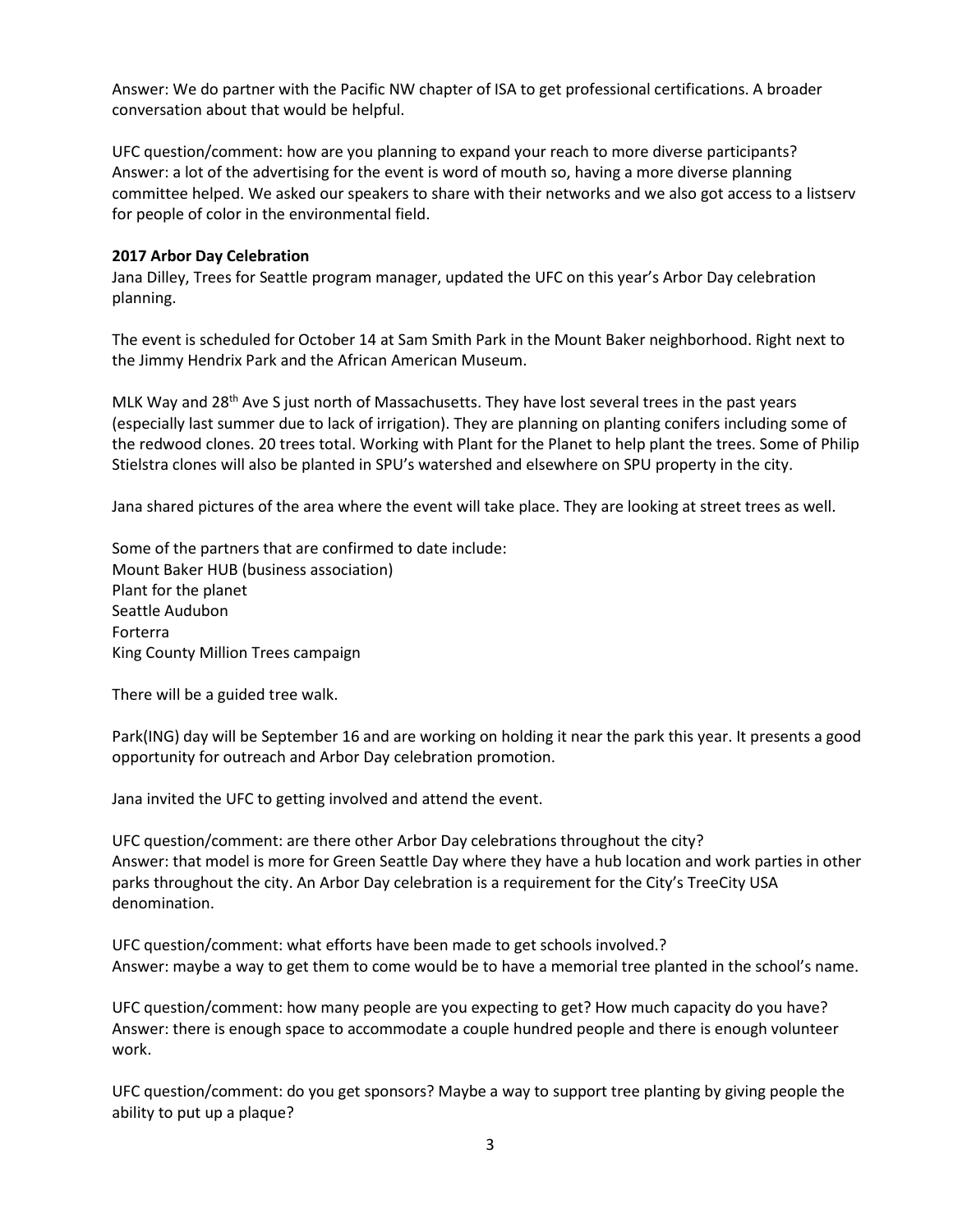Answer: We do partner with the Pacific NW chapter of ISA to get professional certifications. A broader conversation about that would be helpful.

UFC question/comment: how are you planning to expand your reach to more diverse participants? Answer: a lot of the advertising for the event is word of mouth so, having a more diverse planning committee helped. We asked our speakers to share with their networks and we also got access to a listserv for people of color in the environmental field.

## **2017 Arbor Day Celebration**

Jana Dilley, Trees for Seattle program manager, updated the UFC on this year's Arbor Day celebration planning.

The event is scheduled for October 14 at Sam Smith Park in the Mount Baker neighborhood. Right next to the Jimmy Hendrix Park and the African American Museum.

MLK Way and 28<sup>th</sup> Ave S just north of Massachusetts. They have lost several trees in the past years (especially last summer due to lack of irrigation). They are planning on planting conifers including some of the redwood clones. 20 trees total. Working with Plant for the Planet to help plant the trees. Some of Philip Stielstra clones will also be planted in SPU's watershed and elsewhere on SPU property in the city.

Jana shared pictures of the area where the event will take place. They are looking at street trees as well.

Some of the partners that are confirmed to date include: Mount Baker HUB (business association) Plant for the planet Seattle Audubon Forterra King County Million Trees campaign

There will be a guided tree walk.

Park(ING) day will be September 16 and are working on holding it near the park this year. It presents a good opportunity for outreach and Arbor Day celebration promotion.

Jana invited the UFC to getting involved and attend the event.

UFC question/comment: are there other Arbor Day celebrations throughout the city? Answer: that model is more for Green Seattle Day where they have a hub location and work parties in other parks throughout the city. An Arbor Day celebration is a requirement for the City's TreeCity USA denomination.

UFC question/comment: what efforts have been made to get schools involved.? Answer: maybe a way to get them to come would be to have a memorial tree planted in the school's name.

UFC question/comment: how many people are you expecting to get? How much capacity do you have? Answer: there is enough space to accommodate a couple hundred people and there is enough volunteer work.

UFC question/comment: do you get sponsors? Maybe a way to support tree planting by giving people the ability to put up a plaque?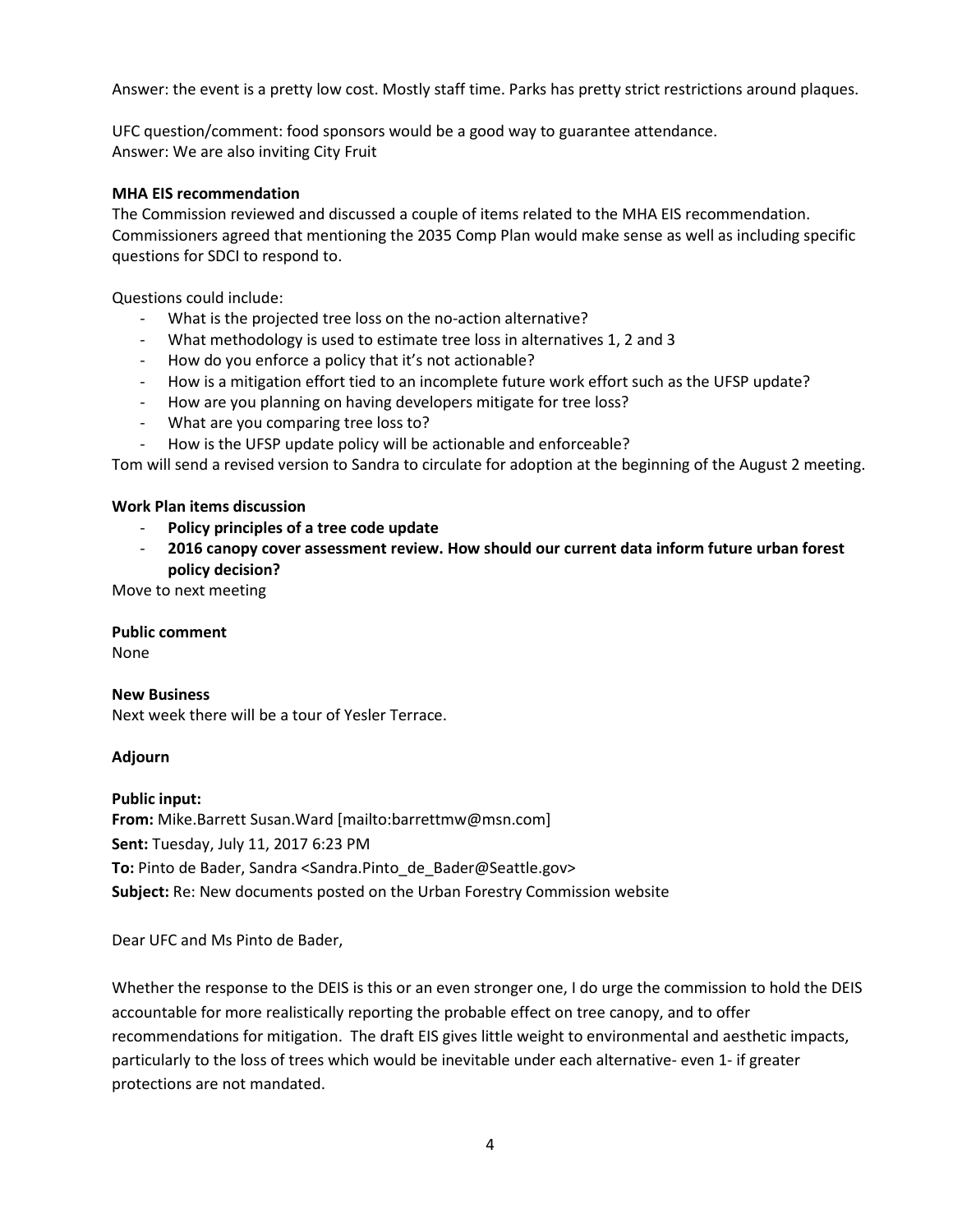Answer: the event is a pretty low cost. Mostly staff time. Parks has pretty strict restrictions around plaques.

UFC question/comment: food sponsors would be a good way to guarantee attendance. Answer: We are also inviting City Fruit

### **MHA EIS recommendation**

The Commission reviewed and discussed a couple of items related to the MHA EIS recommendation. Commissioners agreed that mentioning the 2035 Comp Plan would make sense as well as including specific questions for SDCI to respond to.

Questions could include:

- What is the projected tree loss on the no-action alternative?
- What methodology is used to estimate tree loss in alternatives 1, 2 and 3
- How do you enforce a policy that it's not actionable?
- How is a mitigation effort tied to an incomplete future work effort such as the UFSP update?
- How are you planning on having developers mitigate for tree loss?
- What are you comparing tree loss to?
- How is the UFSP update policy will be actionable and enforceable?

Tom will send a revised version to Sandra to circulate for adoption at the beginning of the August 2 meeting.

## **Work Plan items discussion**

- **Policy principles of a tree code update**
- **2016 canopy cover assessment review. How should our current data inform future urban forest policy decision?**

Move to next meeting

### **Public comment**

None

### **New Business**

Next week there will be a tour of Yesler Terrace.

## **Adjourn**

**Public input: From:** Mike.Barrett Susan.Ward [mailto:barrettmw@msn.com] **Sent:** Tuesday, July 11, 2017 6:23 PM **To:** Pinto de Bader, Sandra <Sandra.Pinto\_de\_Bader@Seattle.gov> **Subject:** Re: New documents posted on the Urban Forestry Commission website

Dear UFC and Ms Pinto de Bader,

Whether the response to the DEIS is this or an even stronger one, I do urge the commission to hold the DEIS accountable for more realistically reporting the probable effect on tree canopy, and to offer recommendations for mitigation. The draft EIS gives little weight to environmental and aesthetic impacts, particularly to the loss of trees which would be inevitable under each alternative- even 1- if greater protections are not mandated.